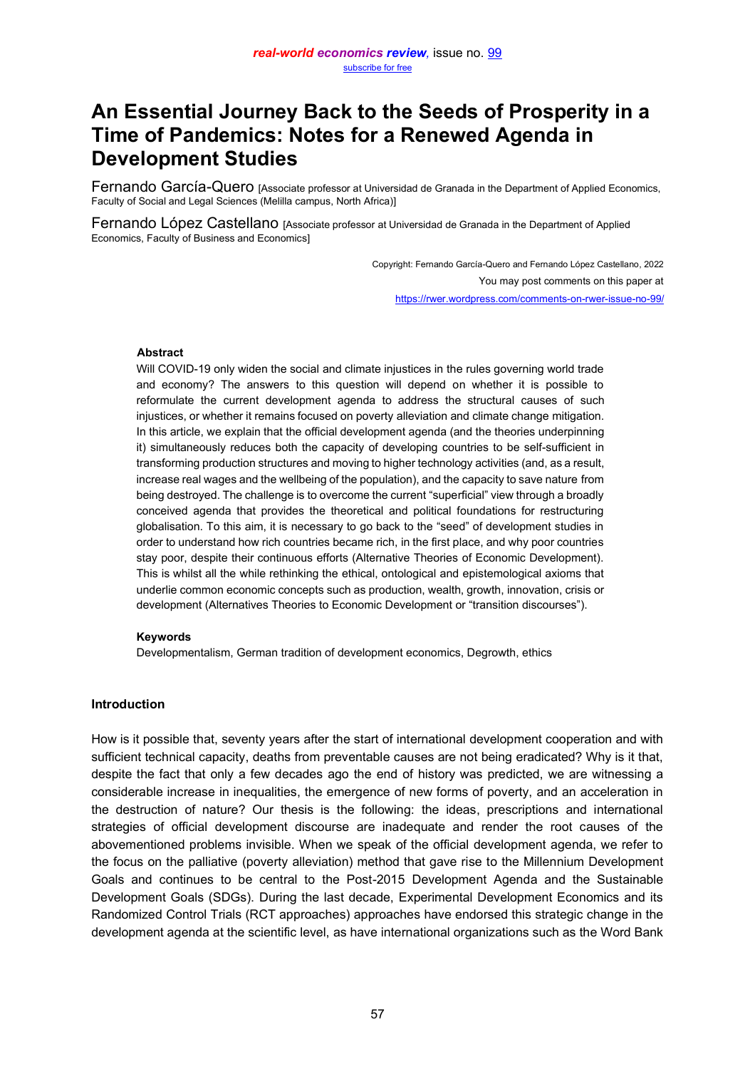# **An Essential Journey Back to the Seeds of Prosperity in a Time of Pandemics: Notes for a Renewed Agenda in Development Studies**

Fernando García-Quero [Associate professor at Universidad de Granada in the Department of Applied Economics, Faculty of Social and Legal Sciences (Melilla campus, North Africa)]

Fernando López Castellano [Associate professor at Universidad de Granada in the Department of Applied Economics, Faculty of Business and Economics]

> Copyright: Fernando García-Quero and Fernando López Castellano, 2022 You may post comments on this paper at <https://rwer.wordpress.com/comments-on-rwer-issue-no-99/>

#### **Abstract**

Will COVID-19 only widen the social and climate injustices in the rules governing world trade and economy? The answers to this question will depend on whether it is possible to reformulate the current development agenda to address the structural causes of such injustices, or whether it remains focused on poverty alleviation and climate change mitigation. In this article, we explain that the official development agenda (and the theories underpinning it) simultaneously reduces both the capacity of developing countries to be self-sufficient in transforming production structures and moving to higher technology activities (and, as a result, increase real wages and the wellbeing of the population), and the capacity to save nature from being destroyed. The challenge is to overcome the current "superficial" yiew through a broadly conceived agenda that provides the theoretical and political foundations for restructuring globalisation. To this aim, it is necessary to go back to the "seed" of development studies in order to understand how rich countries became rich, in the first place, and why poor countries stay poor, despite their continuous efforts (Alternative Theories of Economic Development). This is whilst all the while rethinking the ethical, ontological and epistemological axioms that underlie common economic concepts such as production, wealth, growth, innovation, crisis or development (Alternatives Theories to Economic Development or "transition discourses").

#### **Keywords**

Developmentalism, German tradition of development economics, Degrowth, ethics

## **Introduction**

How is it possible that, seventy years after the start of international development cooperation and with sufficient technical capacity, deaths from preventable causes are not being eradicated? Why is it that, despite the fact that only a few decades ago the end of history was predicted, we are witnessing a considerable increase in inequalities, the emergence of new forms of poverty, and an acceleration in the destruction of nature? Our thesis is the following: the ideas, prescriptions and international strategies of official development discourse are inadequate and render the root causes of the abovementioned problems invisible. When we speak of the official development agenda, we refer to the focus on the palliative (poverty alleviation) method that gave rise to the Millennium Development Goals and continues to be central to the Post-2015 Development Agenda and the Sustainable Development Goals (SDGs). During the last decade, Experimental Development Economics and its Randomized Control Trials (RCT approaches) approaches have endorsed this strategic change in the development agenda at the scientific level, as have international organizations such as the Word Bank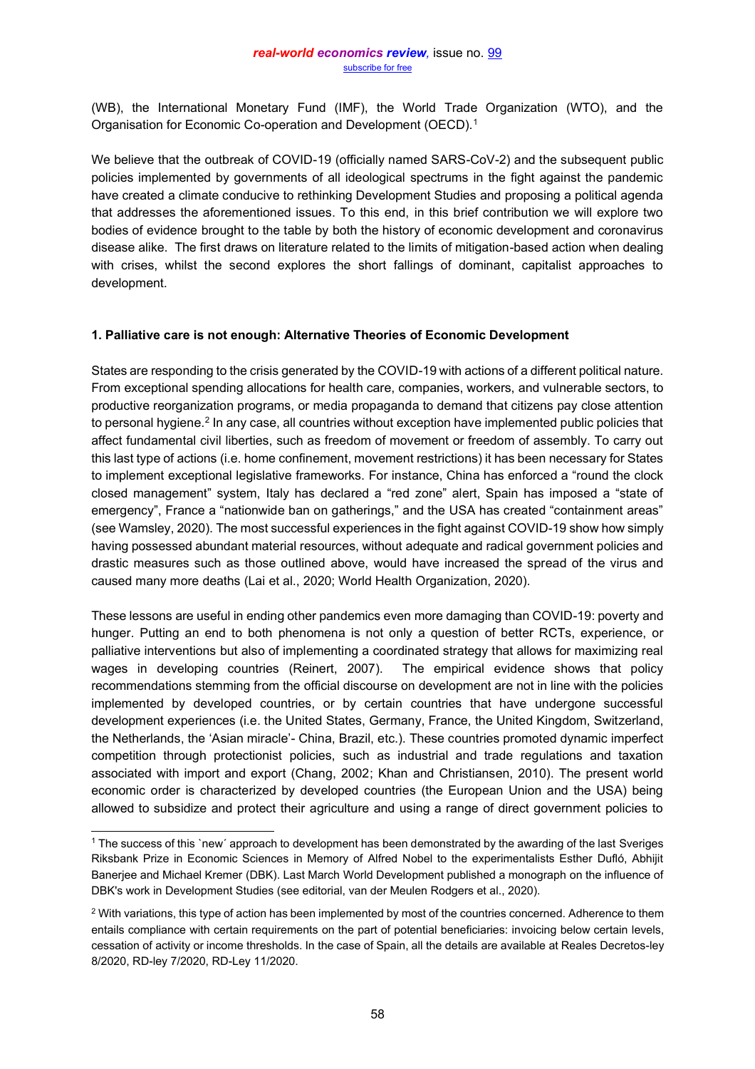(WB), the International Monetary Fund (IMF), the World Trade Organization (WTO), and the Organisation for Economic Co-operation and Development (OECD).1

We believe that the outbreak of COVID-19 (officially named SARS-CoV-2) and the subsequent public policies implemented by governments of all ideological spectrums in the fight against the pandemic have created a climate conducive to rethinking Development Studies and proposing a political agenda that addresses the aforementioned issues. To this end, in this brief contribution we will explore two bodies of evidence brought to the table by both the history of economic development and coronavirus disease alike. The first draws on literature related to the limits of mitigation-based action when dealing with crises, whilst the second explores the short fallings of dominant, capitalist approaches to development.

#### **1. Palliative care is not enough: Alternative Theories of Economic Development**

States are responding to the crisis generated by the COVID-19 with actions of a different political nature. From exceptional spending allocations for health care, companies, workers, and vulnerable sectors, to productive reorganization programs, or media propaganda to demand that citizens pay close attention to personal hygiene.<sup>2</sup> In any case, all countries without exception have implemented public policies that affect fundamental civil liberties, such as freedom of movement or freedom of assembly. To carry out this last type of actions (i.e. home confinement, movement restrictions) it has been necessary for States to implement exceptional legislative frameworks. For instance, China has enforced a "round the clock closed management" system, Italy has declared a "red zone" alert, Spain has imposed a "state of emergency", France a "nationwide ban on gatherings," and the USA has created "containment areas" (see Wamsley, 2020). The most successful experiences in the fight against COVID-19 show how simply having possessed abundant material resources, without adequate and radical government policies and drastic measures such as those outlined above, would have increased the spread of the virus and caused many more deaths (Lai et al., 2020; World Health Organization, 2020).

These lessons are useful in ending other pandemics even more damaging than COVID-19: poverty and hunger. Putting an end to both phenomena is not only a question of better RCTs, experience, or palliative interventions but also of implementing a coordinated strategy that allows for maximizing real wages in developing countries (Reinert, 2007). The empirical evidence shows that policy recommendations stemming from the official discourse on development are not in line with the policies implemented by developed countries, or by certain countries that have undergone successful development experiences (i.e. the United States, Germany, France, the United Kingdom, Switzerland, the Netherlands, the 'Asian miracle'- China, Brazil, etc.). These countries promoted dynamic imperfect competition through protectionist policies, such as industrial and trade regulations and taxation associated with import and export (Chang, 2002; Khan and Christiansen, 2010). The present world economic order is characterized by developed countries (the European Union and the USA) being allowed to subsidize and protect their agriculture and using a range of direct government policies to

<sup>1</sup> The success of this `new´ approach to development has been demonstrated by the awarding of the last Sveriges Riksbank Prize in Economic Sciences in Memory of Alfred Nobel to the experimentalists Esther Dufló, Abhijit Banerjee and Michael Kremer (DBK). Last March World Development published a monograph on the influence of DBK's work in Development Studies (see editorial, van der Meulen Rodgers et al., 2020).

<sup>&</sup>lt;sup>2</sup> With variations, this type of action has been implemented by most of the countries concerned. Adherence to them entails compliance with certain requirements on the part of potential beneficiaries: invoicing below certain levels, cessation of activity or income thresholds. In the case of Spain, all the details are available at Reales Decretos-ley 8/2020, RD-ley 7/2020, RD-Ley 11/2020.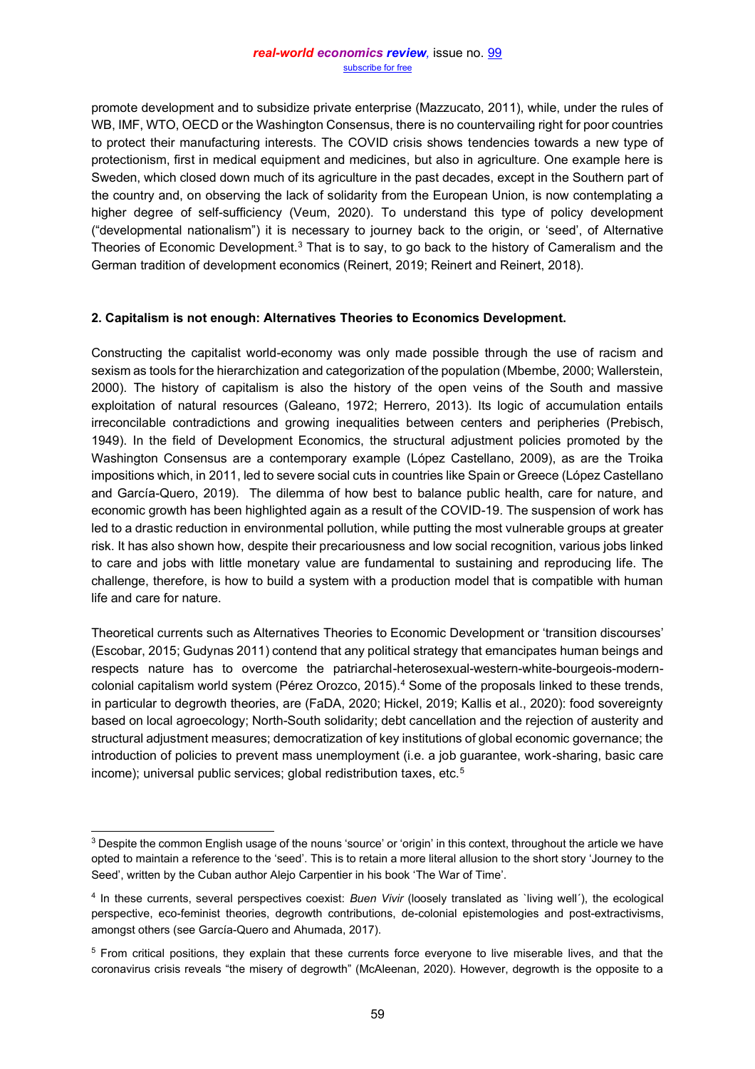promote development and to subsidize private enterprise (Mazzucato, 2011), while, under the rules of WB, IMF, WTO, OECD or the Washington Consensus, there is no countervailing right for poor countries to protect their manufacturing interests. The COVID crisis shows tendencies towards a new type of protectionism, first in medical equipment and medicines, but also in agriculture. One example here is Sweden, which closed down much of its agriculture in the past decades, except in the Southern part of the country and, on observing the lack of solidarity from the European Union, is now contemplating a higher degree of self-sufficiency (Veum, 2020). To understand this type of policy development ("developmental nationalism") it is necessary to journey back to the origin, or 'seed', of Alternative Theories of Economic Development.<sup>3</sup> That is to say, to go back to the history of Cameralism and the German tradition of development economics (Reinert, 2019; Reinert and Reinert, 2018).

## **2. Capitalism is not enough: Alternatives Theories to Economics Development.**

Constructing the capitalist world-economy was only made possible through the use of racism and sexism as tools for the hierarchization and categorization of the population (Mbembe, 2000; Wallerstein, 2000). The history of capitalism is also the history of the open veins of the South and massive exploitation of natural resources (Galeano, 1972; Herrero, 2013). Its logic of accumulation entails irreconcilable contradictions and growing inequalities between centers and peripheries (Prebisch, 1949). In the field of Development Economics, the structural adjustment policies promoted by the Washington Consensus are a contemporary example (López Castellano, 2009), as are the Troika impositions which, in 2011, led to severe social cuts in countries like Spain or Greece (López Castellano and García-Quero, 2019). The dilemma of how best to balance public health, care for nature, and economic growth has been highlighted again as a result of the COVID-19. The suspension of work has led to a drastic reduction in environmental pollution, while putting the most vulnerable groups at greater risk. It has also shown how, despite their precariousness and low social recognition, various jobs linked to care and jobs with little monetary value are fundamental to sustaining and reproducing life. The challenge, therefore, is how to build a system with a production model that is compatible with human life and care for nature.

Theoretical currents such as Alternatives Theories to Economic Development or 'transition discourses' (Escobar, 2015; Gudynas 2011) contend that any political strategy that emancipates human beings and respects nature has to overcome the patriarchal-heterosexual-western-white-bourgeois-moderncolonial capitalism world system (Pérez Orozco, 2015).4 Some of the proposals linked to these trends, in particular to degrowth theories, are (FaDA, 2020; Hickel, 2019; Kallis et al., 2020): food sovereignty based on local agroecology; North-South solidarity; debt cancellation and the rejection of austerity and structural adjustment measures; democratization of key institutions of global economic governance; the introduction of policies to prevent mass unemployment (i.e. a job guarantee, work-sharing, basic care income); universal public services; global redistribution taxes, etc.<sup>5</sup>

<sup>&</sup>lt;sup>3</sup> Despite the common English usage of the nouns 'source' or 'origin' in this context, throughout the article we have opted to maintain a reference to the 'seed'. This is to retain a more literal allusion to the short story 'Journey to the Seed', written by the Cuban author Alejo Carpentier in his book 'The War of Time'.

<sup>4</sup> In these currents, several perspectives coexist: *Buen Vivir* (loosely translated as `living well´), the ecological perspective, eco-feminist theories, degrowth contributions, de-colonial epistemologies and post-extractivisms, amongst others (see García-Quero and Ahumada, 2017).

<sup>5</sup> From critical positions, they explain that these currents force everyone to live miserable lives, and that the coronavirus crisis reveals "the misery of degrowth" (McAleenan, 2020). However, degrowth is the opposite to a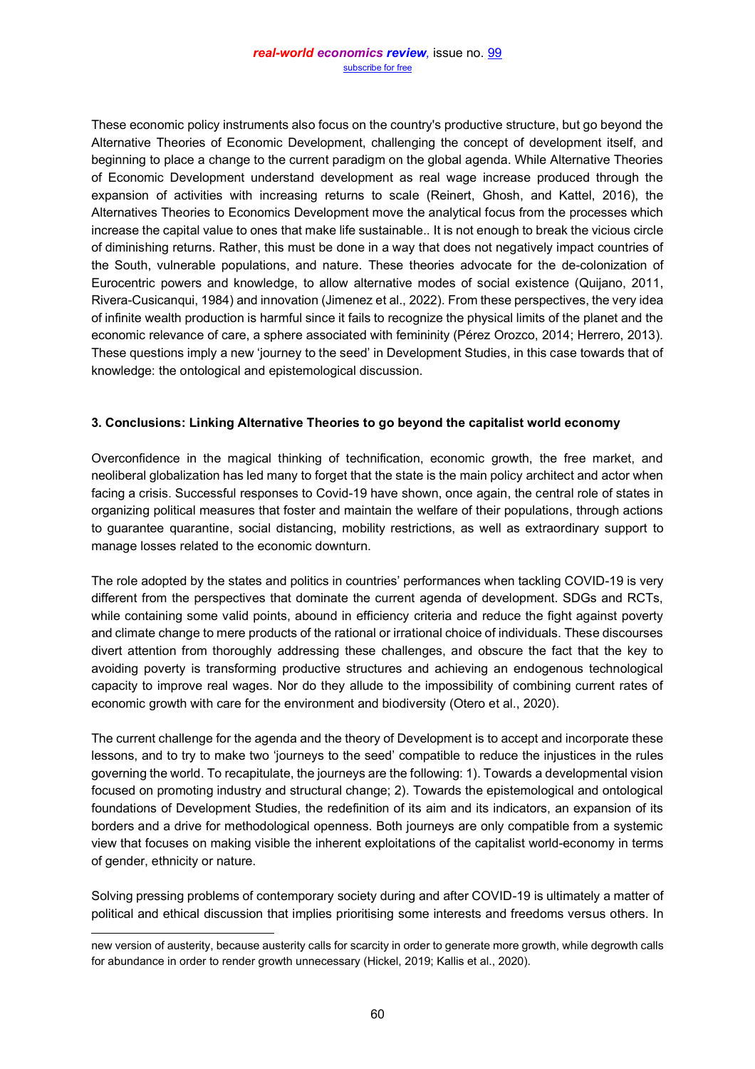These economic policy instruments also focus on the country's productive structure, but go beyond the Alternative Theories of Economic Development, challenging the concept of development itself, and beginning to place a change to the current paradigm on the global agenda. While Alternative Theories of Economic Development understand development as real wage increase produced through the expansion of activities with increasing returns to scale (Reinert, Ghosh, and Kattel, 2016), the Alternatives Theories to Economics Development move the analytical focus from the processes which increase the capital value to ones that make life sustainable.. It is not enough to break the vicious circle of diminishing returns. Rather, this must be done in a way that does not negatively impact countries of the South, vulnerable populations, and nature. These theories advocate for the de-colonization of Eurocentric powers and knowledge, to allow alternative modes of social existence (Quijano, 2011, Rivera-Cusicanqui, 1984) and innovation (Jimenez et al., 2022). From these perspectives, the very idea of infinite wealth production is harmful since it fails to recognize the physical limits of the planet and the economic relevance of care, a sphere associated with femininity (Pérez Orozco, 2014; Herrero, 2013). These questions imply a new 'journey to the seed' in Development Studies, in this case towards that of knowledge: the ontological and epistemological discussion.

## **3. Conclusions: Linking Alternative Theories to go beyond the capitalist world economy**

Overconfidence in the magical thinking of technification, economic growth, the free market, and neoliberal globalization has led many to forget that the state is the main policy architect and actor when facing a crisis. Successful responses to Covid-19 have shown, once again, the central role of states in organizing political measures that foster and maintain the welfare of their populations, through actions to guarantee quarantine, social distancing, mobility restrictions, as well as extraordinary support to manage losses related to the economic downturn.

The role adopted by the states and politics in countries' performances when tackling COVID-19 is very different from the perspectives that dominate the current agenda of development. SDGs and RCTs, while containing some valid points, abound in efficiency criteria and reduce the fight against poverty and climate change to mere products of the rational or irrational choice of individuals. These discourses divert attention from thoroughly addressing these challenges, and obscure the fact that the key to avoiding poverty is transforming productive structures and achieving an endogenous technological capacity to improve real wages. Nor do they allude to the impossibility of combining current rates of economic growth with care for the environment and biodiversity (Otero et al., 2020).

The current challenge for the agenda and the theory of Development is to accept and incorporate these lessons, and to try to make two 'journeys to the seed' compatible to reduce the injustices in the rules governing the world. To recapitulate, the journeys are the following: 1). Towards a developmental vision focused on promoting industry and structural change; 2). Towards the epistemological and ontological foundations of Development Studies, the redefinition of its aim and its indicators, an expansion of its borders and a drive for methodological openness. Both journeys are only compatible from a systemic view that focuses on making visible the inherent exploitations of the capitalist world-economy in terms of gender, ethnicity or nature.

Solving pressing problems of contemporary society during and after COVID-19 is ultimately a matter of political and ethical discussion that implies prioritising some interests and freedoms versus others. In

new version of austerity, because austerity calls for scarcity in order to generate more growth, while degrowth calls for abundance in order to render growth unnecessary (Hickel, 2019; Kallis et al., 2020).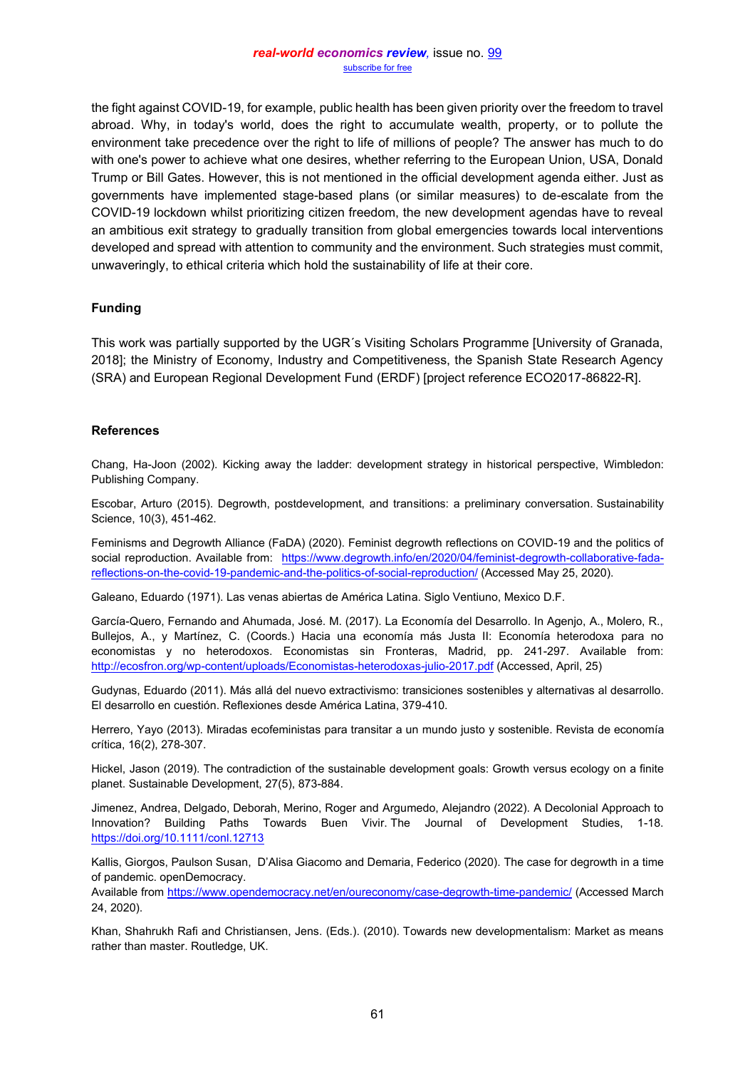the fight against COVID-19, for example, public health has been given priority over the freedom to travel abroad. Why, in today's world, does the right to accumulate wealth, property, or to pollute the environment take precedence over the right to life of millions of people? The answer has much to do with one's power to achieve what one desires, whether referring to the European Union, USA, Donald Trump or Bill Gates. However, this is not mentioned in the official development agenda either. Just as governments have implemented stage-based plans (or similar measures) to de-escalate from the COVID-19 lockdown whilst prioritizing citizen freedom, the new development agendas have to reveal an ambitious exit strategy to gradually transition from global emergencies towards local interventions developed and spread with attention to community and the environment. Such strategies must commit, unwaveringly, to ethical criteria which hold the sustainability of life at their core.

#### **Funding**

This work was partially supported by the UGR´s Visiting Scholars Programme [University of Granada, 2018]; the Ministry of Economy, Industry and Competitiveness, the Spanish State Research Agency (SRA) and European Regional Development Fund (ERDF) [project reference ECO2017-86822-R].

#### **References**

Chang, Ha-Joon (2002). Kicking away the ladder: development strategy in historical perspective, Wimbledon: Publishing Company.

Escobar, Arturo (2015). Degrowth, postdevelopment, and transitions: a preliminary conversation. Sustainability Science, 10(3), 451-462.

Feminisms and Degrowth Alliance (FaDA) (2020). Feminist degrowth reflections on COVID-19 and the politics of social reproduction. Available from: [https://www.degrowth.info/en/2020/04/feminist-degrowth-collaborative-fada](https://www.degrowth.info/en/2020/04/feminist-degrowth-collaborative-fada-reflections-on-the-covid-19-pandemic-and-the-politics-of-social-reproduction/)[reflections-on-the-covid-19-pandemic-and-the-politics-of-social-reproduction/](https://www.degrowth.info/en/2020/04/feminist-degrowth-collaborative-fada-reflections-on-the-covid-19-pandemic-and-the-politics-of-social-reproduction/) (Accessed May 25, 2020).

Galeano, Eduardo (1971). Las venas abiertas de América Latina. Siglo Ventiuno, Mexico D.F.

García-Quero, Fernando and Ahumada, José. M. (2017). La Economía del Desarrollo. In Agenjo, A., Molero, R., Bullejos, A., y Martínez, C. (Coords.) Hacia una economía más Justa II: Economía heterodoxa para no economistas y no heterodoxos. Economistas sin Fronteras, Madrid, pp. 241-297. Available from: <http://ecosfron.org/wp-content/uploads/Economistas-heterodoxas-julio-2017.pdf> (Accessed, April, 25)

Gudynas, Eduardo (2011). Más allá del nuevo extractivismo: transiciones sostenibles y alternativas al desarrollo. El desarrollo en cuestión. Reflexiones desde América Latina, 379-410.

Herrero, Yayo (2013). Miradas ecofeministas para transitar a un mundo justo y sostenible. Revista de economía crítica, 16(2), 278-307.

Hickel, Jason (2019). The contradiction of the sustainable development goals: Growth versus ecology on a finite planet. Sustainable Development, 27(5), 873-884.

Jimenez, Andrea, Delgado, Deborah, Merino, Roger and Argumedo, Alejandro (2022). A Decolonial Approach to Innovation? Building Paths Towards Buen Vivir. The Journal of Development Studies, 1-18. <https://doi.org/10.1111/conl.12713>

Kallis, Giorgos, Paulson Susan, D'Alisa Giacomo and Demaria, Federico (2020). The case for degrowth in a time of pandemic. openDemocracy.

Available from<https://www.opendemocracy.net/en/oureconomy/case-degrowth-time-pandemic/> (Accessed March 24, 2020).

Khan, Shahrukh Rafi and Christiansen, Jens. (Eds.). (2010). Towards new developmentalism: Market as means rather than master. Routledge, UK.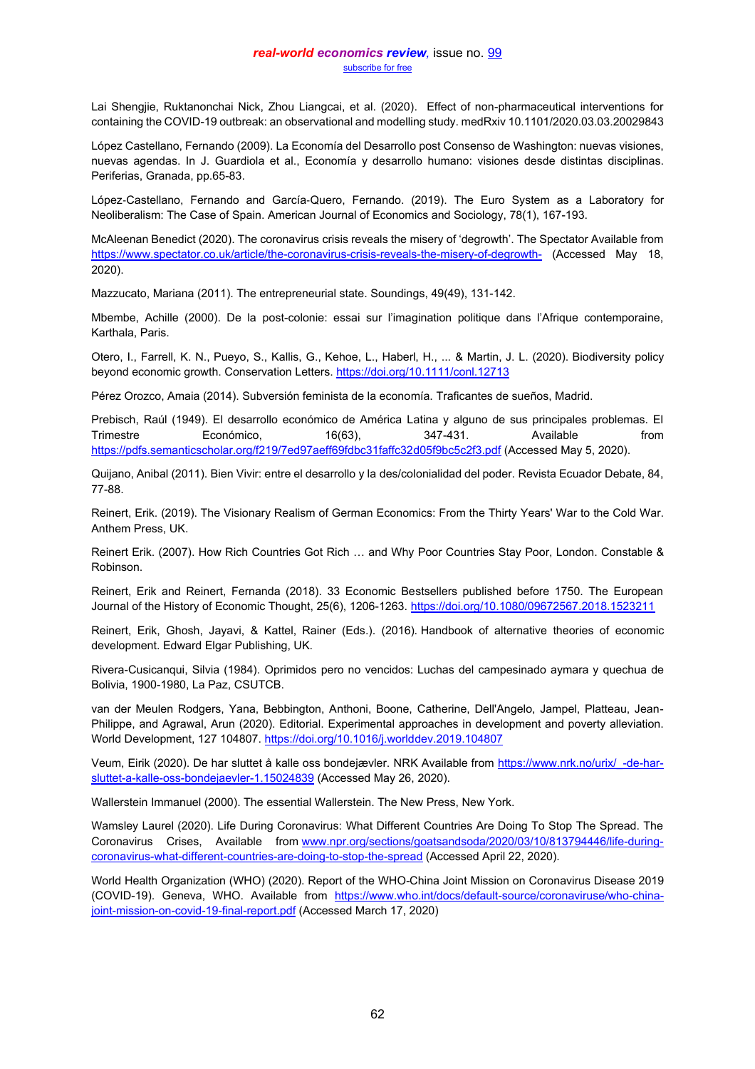#### *real-world economics review,* issue no. [99](http://www.paecon.net/PAEReview/issue99/whole99.pdf) [subscribe for free](http://www.feedblitz.com/f/f.fbz?Sub=332386)

Lai Shengije, Ruktanonchai Nick, Zhou Liangcai, et al. (2020). Effect of non-pharmaceutical interventions for containing the COVID-19 outbreak: an observational and modelling study. medRxiv 10.1101/2020.03.03.20029843

López Castellano, Fernando (2009). La Economía del Desarrollo post Consenso de Washington: nuevas visiones, nuevas agendas. In J. Guardiola et al., Economía y desarrollo humano: visiones desde distintas disciplinas. Periferias, Granada, pp.65-83.

López‐Castellano, Fernando and García‐Quero, Fernando. (2019). The Euro System as a Laboratory for Neoliberalism: The Case of Spain. American Journal of Economics and Sociology, 78(1), 167-193.

McAleenan Benedict (2020). The coronavirus crisis reveals the misery of 'degrowth'. The Spectator Available from <https://www.spectator.co.uk/article/the-coronavirus-crisis-reveals-the-misery-of-degrowth-> (Accessed May 18, 2020).

Mazzucato, Mariana (2011). The entrepreneurial state. Soundings, 49(49), 131-142.

Mbembe, Achille (2000). De la post-colonie: essai sur l'imagination politique dans l'Afrique contemporaine, Karthala, Paris.

Otero, I., Farrell, K. N., Pueyo, S., Kallis, G., Kehoe, L., Haberl, H., ... & Martin, J. L. (2020). Biodiversity policy beyond economic growth. Conservation Letters.<https://doi.org/10.1111/conl.12713>

Pérez Orozco, Amaia (2014). Subversión feminista de la economía. Traficantes de sueños, Madrid.

Prebisch, Raúl (1949). El desarrollo económico de América Latina y alguno de sus principales problemas. El Trimestre Económico, 16(63), 347-431. Available from <https://pdfs.semanticscholar.org/f219/7ed97aeff69fdbc31faffc32d05f9bc5c2f3.pdf> (Accessed May 5, 2020).

Quijano, Anibal (2011). Bien Vivir: entre el desarrollo y la des/colonialidad del poder. Revista Ecuador Debate, 84, 77-88.

Reinert, Erik. (2019). The Visionary Realism of German Economics: From the Thirty Years' War to the Cold War. Anthem Press, UK.

Reinert Erik. (2007). How Rich Countries Got Rich ... and Why Poor Countries Stay Poor, London. Constable & Robinson.

Reinert, Erik and Reinert, Fernanda (2018). 33 Economic Bestsellers published before 1750. The European Journal of the History of Economic Thought, 25(6), 1206-1263[. https://doi.org/10.1080/09672567.2018.1523211](https://doi.org/10.1080/09672567.2018.1523211)

Reinert, Erik, Ghosh, Jayavi, & Kattel, Rainer (Eds.). (2016). Handbook of alternative theories of economic development. Edward Elgar Publishing, UK.

Rivera-Cusicanqui, Silvia (1984). Oprimidos pero no vencidos: Luchas del campesinado aymara y quechua de Bolivia, 1900-1980, La Paz, CSUTCB.

van der Meulen Rodgers, Yana, Bebbington, Anthoni, Boone, Catherine, Dell'Angelo, Jampel, Platteau, Jean-Philippe, and Agrawal, Arun (2020). Editorial. Experimental approaches in development and poverty alleviation. World Development, 127 104807[. https://doi.org/10.1016/j.worlddev.2019.104807](https://doi.org/10.1016/j.worlddev.2019.104807)

Veum, Eirik (2020). De har sluttet å kalle oss bondejævler. NRK Available from [https://www.nrk.no/urix/\\_-de-har](https://www.nrk.no/urix/_-de-har-sluttet-a-kalle-oss-bondejaevler-1.15024839)[sluttet-a-kalle-oss-bondejaevler-1.15024839](https://www.nrk.no/urix/_-de-har-sluttet-a-kalle-oss-bondejaevler-1.15024839) (Accessed May 26, 2020).

Wallerstein Immanuel (2000). The essential Wallerstein. The New Press, New York.

Wamsley Laurel (2020). Life During Coronavirus: What Different Countries Are Doing To Stop The Spread. The Coronavirus Crises, Available from [www.npr.org/sections/goatsandsoda/2020/03/10/813794446/life-during](http://www.npr.org/sections/goatsandsoda/2020/03/10/813794446/life-during-coronavirus-what-different-countries-are-doing-to-stop-the-spread)[coronavirus-what-different-countries-are-doing-to-stop-the-spread](http://www.npr.org/sections/goatsandsoda/2020/03/10/813794446/life-during-coronavirus-what-different-countries-are-doing-to-stop-the-spread) (Accessed April 22, 2020).

World Health Organization (WHO) (2020). Report of the WHO-China Joint Mission on Coronavirus Disease 2019 (COVID-19). Geneva, WHO. Available from [https://www.who.int/docs/default-source/coronaviruse/who-china](https://www.who.int/docs/default-source/coronaviruse/who-china-joint-mission-on-covid-19-final-report.pdf)[joint-mission-on-covid-19-final-report.pdf](https://www.who.int/docs/default-source/coronaviruse/who-china-joint-mission-on-covid-19-final-report.pdf) (Accessed March 17, 2020)